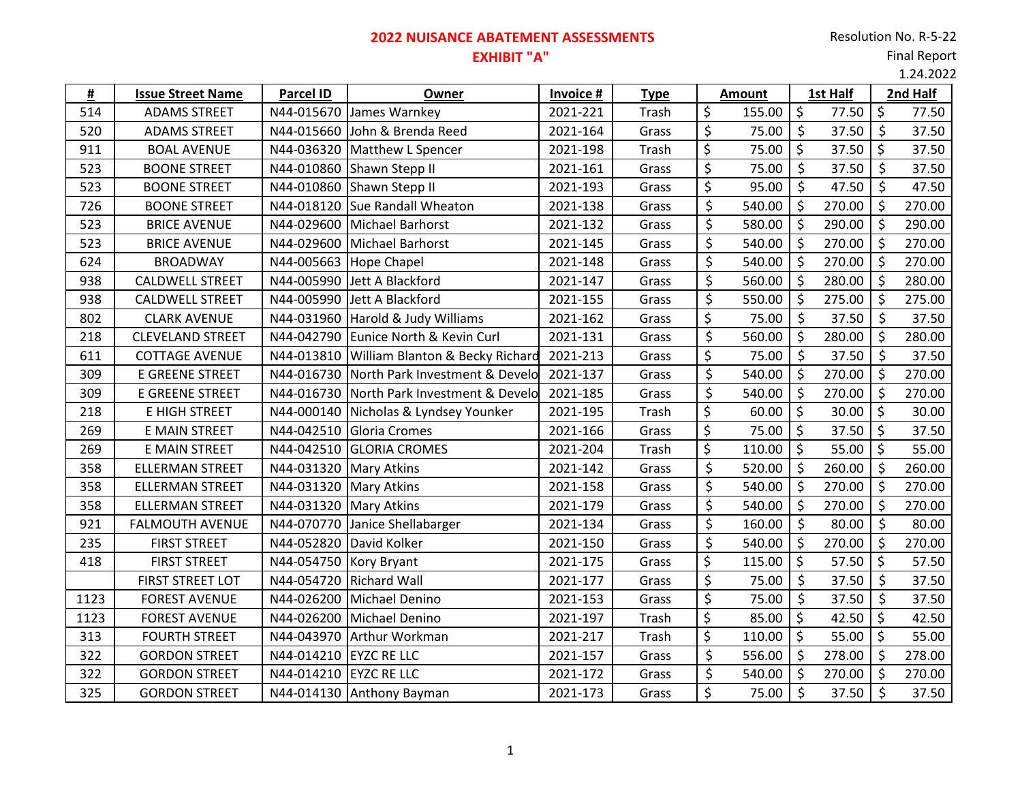# **2022 NUISANCE ABATEMENT ASSESSMENTS**

### Final Report

**EXHIBIT "A"**

1.24.2022

| #    | <b>Issue Street Name</b> | Parcel ID                | Owner                           | Invoice # | <b>Type</b> |         | <b>Amount</b> | 1st Half             |              |            | 2nd Half |
|------|--------------------------|--------------------------|---------------------------------|-----------|-------------|---------|---------------|----------------------|--------------|------------|----------|
| 514  | <b>ADAMS STREET</b>      | N44-015670               | James Warnkey                   | 2021-221  | Trash       | \$      | 155.00        | $\zeta$              | $77.50$ \$   |            | 77.50    |
| 520  | <b>ADAMS STREET</b>      | N44-015660               | John & Brenda Reed              | 2021-164  | Grass       | \$      | 75.00         | $\zeta$              | 37.50        | $\zeta$    | 37.50    |
| 911  | <b>BOAL AVENUE</b>       | N44-036320               | Matthew L Spencer               | 2021-198  | Trash       | \$      | 75.00         | \$                   | $37.50$ \$   |            | 37.50    |
| 523  | <b>BOONE STREET</b>      | N44-010860               | Shawn Stepp II                  | 2021-161  | Grass       | \$      | 75.00         | \$                   | 37.50        | $\zeta$    | 37.50    |
| 523  | <b>BOONE STREET</b>      | N44-010860               | Shawn Stepp II                  | 2021-193  | Grass       | \$      | 95.00         | \$                   | 47.50        | $\zeta$    | 47.50    |
| 726  | <b>BOONE STREET</b>      | N44-018120               | Sue Randall Wheaton             | 2021-138  | Grass       | \$      | 540.00        | \$                   | 270.00       | $\zeta$    | 270.00   |
| 523  | <b>BRICE AVENUE</b>      | N44-029600               | Michael Barhorst                | 2021-132  | Grass       | \$      | 580.00        | \$                   | 290.00       | $\zeta$    | 290.00   |
| 523  | <b>BRICE AVENUE</b>      | N44-029600               | <b>Michael Barhorst</b>         | 2021-145  | Grass       | \$      | 540.00        | \$                   | 270.00       | $\zeta$    | 270.00   |
| 624  | <b>BROADWAY</b>          | N44-005663               | <b>Hope Chapel</b>              | 2021-148  | Grass       | \$      | 540.00        | \$                   | 270.00       | $\zeta$    | 270.00   |
| 938  | <b>CALDWELL STREET</b>   | N44-005990               | Jett A Blackford                | 2021-147  | Grass       | \$      | 560.00        | $\zeta$              | 280.00       | $\zeta$    | 280.00   |
| 938  | <b>CALDWELL STREET</b>   | N44-005990               | Jett A Blackford                | 2021-155  | Grass       | \$      | 550.00        | \$                   | 275.00       | \$         | 275.00   |
| 802  | <b>CLARK AVENUE</b>      | N44-031960               | Harold & Judy Williams          | 2021-162  | Grass       | \$      | 75.00         | \$                   | 37.50        | $\zeta$    | 37.50    |
| 218  | <b>CLEVELAND STREET</b>  | N44-042790               | Eunice North & Kevin Curl       | 2021-131  | Grass       | \$      | 560.00        | \$                   | 280.00       | $\zeta$    | 280.00   |
| 611  | <b>COTTAGE AVENUE</b>    | N44-013810               | William Blanton & Becky Richard | 2021-213  | Grass       | \$      | 75.00         | $\zeta$              | 37.50        | $\zeta$    | 37.50    |
| 309  | <b>E GREENE STREET</b>   | N44-016730               | North Park Investment & Develo  | 2021-137  | Grass       | \$      | 540.00        | \$                   | 270.00       | $\zeta$    | 270.00   |
| 309  | <b>E GREENE STREET</b>   | N44-016730               | North Park Investment & Develo  | 2021-185  | Grass       | \$      | 540.00        | $\zeta$              | 270.00       | $\zeta$    | 270.00   |
| 218  | E HIGH STREET            | N44-000140               | Nicholas & Lyndsey Younker      | 2021-195  | Trash       | \$      | 60.00         | \$                   | 30.00        | $\vert$ \$ | 30.00    |
| 269  | E MAIN STREET            | N44-042510               | Gloria Cromes                   | 2021-166  | Grass       | \$      | 75.00         | $\zeta$              | $37.50$ \$   |            | 37.50    |
| 269  | E MAIN STREET            | N44-042510               | <b>GLORIA CROMES</b>            | 2021-204  | Trash       | \$      | 110.00        | $\zeta$              | 55.00        | $\zeta$    | 55.00    |
| 358  | <b>ELLERMAN STREET</b>   | N44-031320               | <b>Mary Atkins</b>              | 2021-142  | Grass       | \$      | 520.00        | \$                   | 260.00       | $\zeta$    | 260.00   |
| 358  | <b>ELLERMAN STREET</b>   | N44-031320               | <b>Mary Atkins</b>              | 2021-158  | Grass       | \$      | 540.00        | $\zeta$              | 270.00       | $\zeta$    | 270.00   |
| 358  | <b>ELLERMAN STREET</b>   | N44-031320   Mary Atkins |                                 | 2021-179  | Grass       | \$      | 540.00        | \$                   | 270.00       | $\zeta$    | 270.00   |
| 921  | <b>FALMOUTH AVENUE</b>   | N44-070770               | Janice Shellabarger             | 2021-134  | Grass       | \$      | 160.00        | \$                   | 80.00        | $\zeta$    | 80.00    |
| 235  | <b>FIRST STREET</b>      | N44-052820               | David Kolker                    | 2021-150  | Grass       | $\zeta$ | 540.00        | \$                   | 270.00       | $\zeta$    | 270.00   |
| 418  | <b>FIRST STREET</b>      | N44-054750               | Kory Bryant                     | 2021-175  | Grass       | \$      | 115.00        | $\zeta$              | 57.50        | $\zeta$    | 57.50    |
|      | FIRST STREET LOT         | N44-054720               | <b>Richard Wall</b>             | 2021-177  | Grass       | \$      | 75.00         | \$                   | 37.50        | $\zeta$    | 37.50    |
| 1123 | <b>FOREST AVENUE</b>     | N44-026200               | Michael Denino                  | 2021-153  | Grass       | \$      | 75.00         | $\zeta$              | 37.50        | $\zeta$    | 37.50    |
| 1123 | <b>FOREST AVENUE</b>     | N44-026200               | Michael Denino                  | 2021-197  | Trash       | \$      | 85.00         | $\zeta$              | 42.50        | \$         | 42.50    |
| 313  | <b>FOURTH STREET</b>     | N44-043970               | Arthur Workman                  | 2021-217  | Trash       | \$      | 110.00        | $\zeta$              | $55.00$   \$ |            | 55.00    |
| 322  | <b>GORDON STREET</b>     | N44-014210               | <b>EYZC RE LLC</b>              | 2021-157  | Grass       | \$      | 556.00        | \$                   | 278.00       | $\zeta$    | 278.00   |
| 322  | <b>GORDON STREET</b>     | N44-014210               | <b>EYZC RE LLC</b>              | 2021-172  | Grass       | \$      | 540.00        | \$                   | 270.00       | \$         | 270.00   |
| 325  | <b>GORDON STREET</b>     |                          | N44-014130 Anthony Bayman       | 2021-173  | Grass       | \$      | 75.00         | $\boldsymbol{\zeta}$ | 37.50        | $\zeta$    | 37.50    |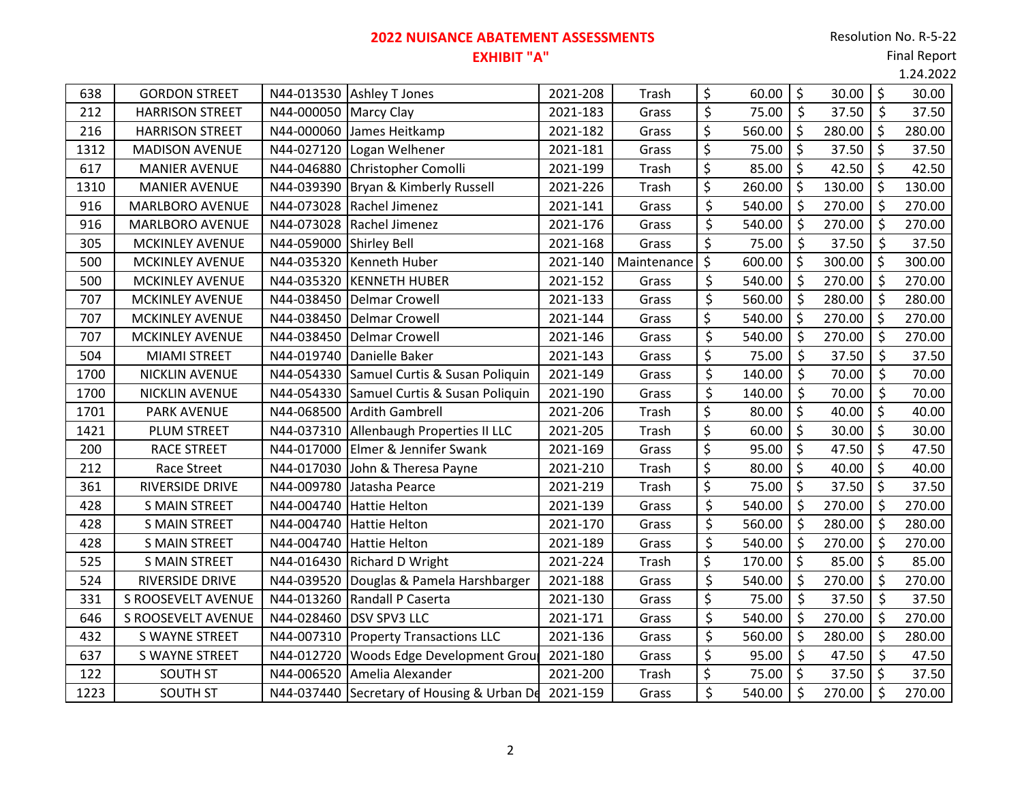## **2022 NUISANCE ABATEMENT ASSESSMENTS EXHIBIT "A"**

#### Final Report

|      |                        |                         |                                            |          |             |         |        |         |        |         | 1.24.2022 |
|------|------------------------|-------------------------|--------------------------------------------|----------|-------------|---------|--------|---------|--------|---------|-----------|
| 638  | <b>GORDON STREET</b>   |                         | N44-013530 Ashley T Jones                  | 2021-208 | Trash       | \$      | 60.00  | $\zeta$ | 30.00  | $\zeta$ | 30.00     |
| 212  | <b>HARRISON STREET</b> | N44-000050 Marcy Clay   |                                            | 2021-183 | Grass       | $\zeta$ | 75.00  | $\zeta$ | 37.50  | \$      | 37.50     |
| 216  | <b>HARRISON STREET</b> |                         | N44-000060 James Heitkamp                  | 2021-182 | Grass       | \$      | 560.00 | $\zeta$ | 280.00 | $\zeta$ | 280.00    |
| 1312 | <b>MADISON AVENUE</b>  |                         | N44-027120 Logan Welhener                  | 2021-181 | Grass       | \$      | 75.00  | $\zeta$ | 37.50  | \$      | 37.50     |
| 617  | <b>MANIER AVENUE</b>   |                         | N44-046880 Christopher Comolli             | 2021-199 | Trash       | \$      | 85.00  | $\zeta$ | 42.50  | $\zeta$ | 42.50     |
| 1310 | <b>MANIER AVENUE</b>   | N44-039390              | Bryan & Kimberly Russell                   | 2021-226 | Trash       | \$      | 260.00 | $\zeta$ | 130.00 | \$      | 130.00    |
| 916  | <b>MARLBORO AVENUE</b> |                         | N44-073028 Rachel Jimenez                  | 2021-141 | Grass       | \$      | 540.00 | $\zeta$ | 270.00 | $\zeta$ | 270.00    |
| 916  | MARLBORO AVENUE        |                         | N44-073028 Rachel Jimenez                  | 2021-176 | Grass       | \$      | 540.00 | $\zeta$ | 270.00 | $\zeta$ | 270.00    |
| 305  | <b>MCKINLEY AVENUE</b> | N44-059000 Shirley Bell |                                            | 2021-168 | Grass       | \$      | 75.00  | $\zeta$ | 37.50  | $\zeta$ | 37.50     |
| 500  | <b>MCKINLEY AVENUE</b> | N44-035320              | Kenneth Huber                              | 2021-140 | Maintenance | \$      | 600.00 | $\zeta$ | 300.00 | $\zeta$ | 300.00    |
| 500  | <b>MCKINLEY AVENUE</b> | N44-035320              | <b>KENNETH HUBER</b>                       | 2021-152 | Grass       | \$      | 540.00 | $\zeta$ | 270.00 | $\zeta$ | 270.00    |
| 707  | <b>MCKINLEY AVENUE</b> |                         | N44-038450   Delmar Crowell                | 2021-133 | Grass       | \$      | 560.00 | $\zeta$ | 280.00 | $\zeta$ | 280.00    |
| 707  | <b>MCKINLEY AVENUE</b> | N44-038450              | Delmar Crowell                             | 2021-144 | Grass       | \$      | 540.00 | $\zeta$ | 270.00 | $\zeta$ | 270.00    |
| 707  | <b>MCKINLEY AVENUE</b> | N44-038450              | Delmar Crowell                             | 2021-146 | Grass       | \$      | 540.00 | $\zeta$ | 270.00 | \$      | 270.00    |
| 504  | <b>MIAMI STREET</b>    | N44-019740              | Danielle Baker                             | 2021-143 | Grass       | \$      | 75.00  | \$      | 37.50  | \$      | 37.50     |
| 1700 | <b>NICKLIN AVENUE</b>  |                         | N44-054330 Samuel Curtis & Susan Poliquin  | 2021-149 | Grass       | \$      | 140.00 | $\zeta$ | 70.00  | \$      | 70.00     |
| 1700 | <b>NICKLIN AVENUE</b>  |                         | N44-054330 Samuel Curtis & Susan Poliquin  | 2021-190 | Grass       | \$      | 140.00 | $\zeta$ | 70.00  | $\zeta$ | 70.00     |
| 1701 | <b>PARK AVENUE</b>     |                         | N44-068500 Ardith Gambrell                 | 2021-206 | Trash       | \$      | 80.00  | $\zeta$ | 40.00  | $\zeta$ | 40.00     |
| 1421 | PLUM STREET            |                         | N44-037310 Allenbaugh Properties II LLC    | 2021-205 | Trash       | \$      | 60.00  | $\zeta$ | 30.00  | $\zeta$ | 30.00     |
| 200  | RACE STREET            | N44-017000              | Elmer & Jennifer Swank                     | 2021-169 | Grass       | \$      | 95.00  | $\zeta$ | 47.50  | \$      | 47.50     |
| 212  | <b>Race Street</b>     |                         | N44-017030 John & Theresa Payne            | 2021-210 | Trash       | \$      | 80.00  | $\zeta$ | 40.00  | $\zeta$ | 40.00     |
| 361  | RIVERSIDE DRIVE        |                         | N44-009780 Jatasha Pearce                  | 2021-219 | Trash       | \$      | 75.00  | $\zeta$ | 37.50  | $\zeta$ | 37.50     |
| 428  | <b>S MAIN STREET</b>   |                         | N44-004740 Hattie Helton                   | 2021-139 | Grass       | \$      | 540.00 | $\zeta$ | 270.00 | $\zeta$ | 270.00    |
| 428  | <b>S MAIN STREET</b>   | N44-004740              | Hattie Helton                              | 2021-170 | Grass       | \$      | 560.00 | $\zeta$ | 280.00 | $\zeta$ | 280.00    |
| 428  | <b>S MAIN STREET</b>   | N44-004740              | <b>Hattie Helton</b>                       | 2021-189 | Grass       | \$      | 540.00 | $\zeta$ | 270.00 | \$      | 270.00    |
| 525  | <b>S MAIN STREET</b>   |                         | N44-016430 Richard D Wright                | 2021-224 | Trash       | \$      | 170.00 | $\zeta$ | 85.00  | $\zeta$ | 85.00     |
| 524  | RIVERSIDE DRIVE        |                         | N44-039520 Douglas & Pamela Harshbarger    | 2021-188 | Grass       | \$      | 540.00 | $\zeta$ | 270.00 | $\zeta$ | 270.00    |
| 331  | S ROOSEVELT AVENUE     |                         | N44-013260 Randall P Caserta               | 2021-130 | Grass       | \$      | 75.00  | $\zeta$ | 37.50  | $\zeta$ | 37.50     |
| 646  | S ROOSEVELT AVENUE     |                         | N44-028460 DSV SPV3 LLC                    | 2021-171 | Grass       | \$      | 540.00 | $\zeta$ | 270.00 | $\zeta$ | 270.00    |
| 432  | S WAYNE STREET         | N44-007310              | <b>Property Transactions LLC</b>           | 2021-136 | Grass       | \$      | 560.00 | $\zeta$ | 280.00 | $\zeta$ | 280.00    |
| 637  | S WAYNE STREET         | N44-012720              | <b>Woods Edge Development Grou</b>         | 2021-180 | Grass       | $\zeta$ | 95.00  | $\zeta$ | 47.50  | $\zeta$ | 47.50     |
| 122  | <b>SOUTH ST</b>        |                         | N44-006520 Amelia Alexander                | 2021-200 | Trash       | \$      | 75.00  | $\zeta$ | 37.50  | $\zeta$ | 37.50     |
| 1223 | <b>SOUTH ST</b>        |                         | N44-037440 Secretary of Housing & Urban De | 2021-159 | Grass       | \$      | 540.00 | $\zeta$ | 270.00 | $\zeta$ | 270.00    |